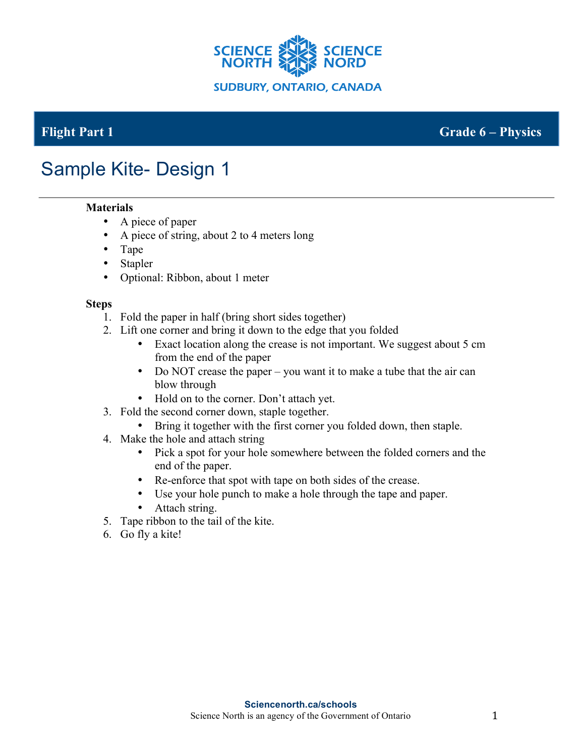

## **Flight Part 1 Grade 6 – Physics**

# Sample Kite- Design 1

### **Materials**

- A piece of paper
- A piece of string, about 2 to 4 meters long
- Tape
- Stapler
- Optional: Ribbon, about 1 meter

#### **Steps**

- 1. Fold the paper in half (bring short sides together)
- 2. Lift one corner and bring it down to the edge that you folded
	- Exact location along the crease is not important. We suggest about 5 cm from the end of the paper
	- Do NOT crease the paper you want it to make a tube that the air can blow through
	- Hold on to the corner. Don't attach yet.
- 3. Fold the second corner down, staple together.
	- Bring it together with the first corner you folded down, then staple.
- 4. Make the hole and attach string
	- Pick a spot for your hole somewhere between the folded corners and the end of the paper.
	- Re-enforce that spot with tape on both sides of the crease.
	- Use your hole punch to make a hole through the tape and paper.
	- Attach string.
- 5. Tape ribbon to the tail of the kite.
- 6. Go fly a kite!